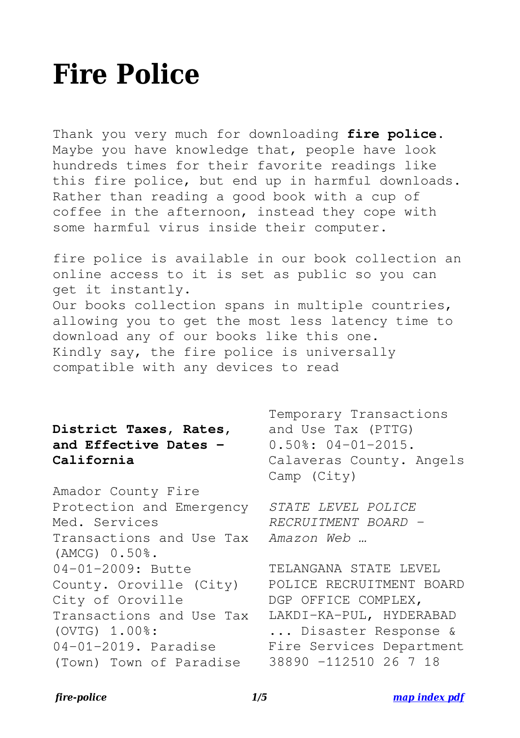# **Fire Police**

Thank you very much for downloading **fire police**. Maybe you have knowledge that, people have look hundreds times for their favorite readings like this fire police, but end up in harmful downloads. Rather than reading a good book with a cup of coffee in the afternoon, instead they cope with some harmful virus inside their computer.

fire police is available in our book collection an online access to it is set as public so you can get it instantly. Our books collection spans in multiple countries, allowing you to get the most less latency time to download any of our books like this one. Kindly say, the fire police is universally compatible with any devices to read

# **District Taxes, Rates, and Effective Dates - California**

Amador County Fire Protection and Emergency Med. Services Transactions and Use Tax (AMCG) 0.50%. 04-01-2009: Butte County. Oroville (City) City of Oroville Transactions and Use Tax (OVTG) 1.00%: 04-01-2019. Paradise (Town) Town of Paradise

Temporary Transactions and Use Tax (PTTG) 0.50%: 04-01-2015. Calaveras County. Angels Camp (City)

*STATE LEVEL POLICE RECRUITMENT BOARD - Amazon Web …*

TELANGANA STATE LEVEL POLICE RECRUITMENT BOARD DGP OFFICE COMPLEX, LAKDI-KA-PUL, HYDERABAD ... Disaster Response & Fire Services Department 38890 -112510 26 7 18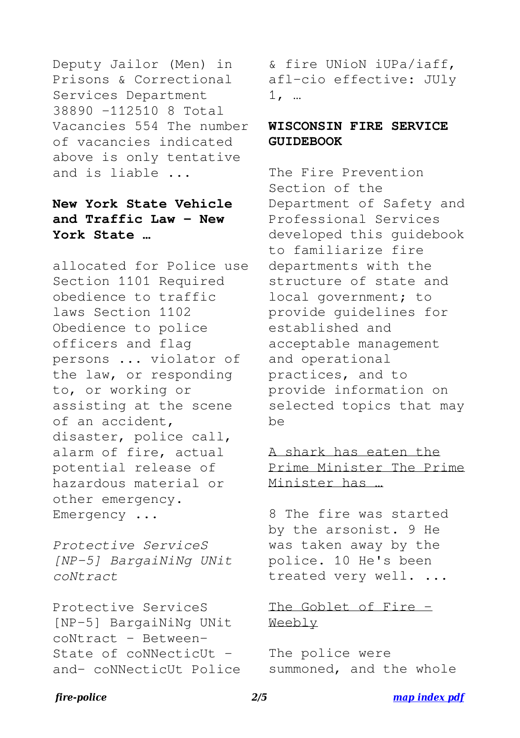Deputy Jailor (Men) in Prisons & Correctional Services Department 38890 -112510 8 Total Vacancies 554 The number of vacancies indicated above is only tentative and is liable ...

## **New York State Vehicle and Traffic Law - New York State …**

allocated for Police use Section 1101 Required obedience to traffic laws Section 1102 Obedience to police officers and flag persons ... violator of the law, or responding to, or working or assisting at the scene of an accident, disaster, police call, alarm of fire, actual potential release of hazardous material or other emergency. Emergency ...

*Protective ServiceS [NP-5] BargaiNiNg UNit coNtract*

Protective ServiceS [NP-5] BargaiNiNg UNit coNtract - Between-State of coNNecticUt and- coNNecticUt Police & fire UNioN iUPa/iaff, afl-cio effective: JUly 1, …

#### **WISCONSIN FIRE SERVICE GUIDEBOOK**

The Fire Prevention Section of the Department of Safety and Professional Services developed this guidebook to familiarize fire departments with the structure of state and local government; to provide guidelines for established and acceptable management and operational practices, and to provide information on selected topics that may be

#### A shark has eaten the Prime Minister The Prime Minister has …

8 The fire was started by the arsonist. 9 He was taken away by the police. 10 He's been treated very well. ...

#### The Goblet of Fire -Weebly

The police were summoned, and the whole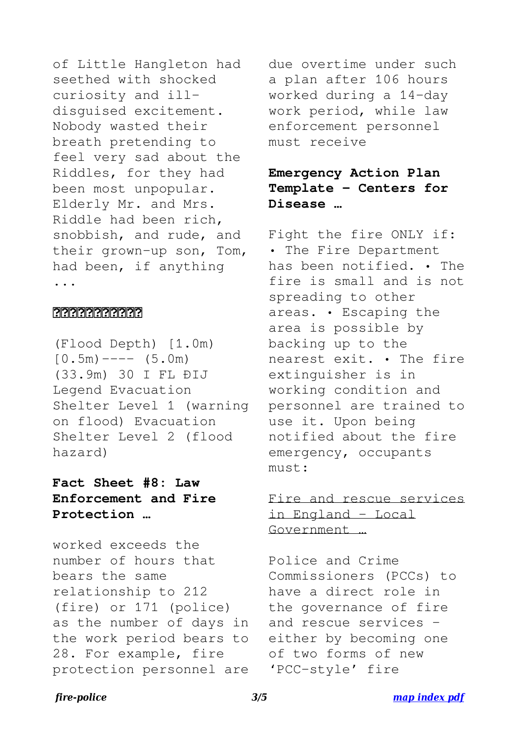of Little Hangleton had seethed with shocked curiosity and illdisguised excitement. Nobody wasted their breath pretending to feel very sad about the Riddles, for they had been most unpopular. Elderly Mr. and Mrs. Riddle had been rich, snobbish, and rude, and their grown-up son, Tom, had been, if anything ...

#### **MARIARIAN**

(Flood Depth) [1.0m)  $[0.5m)$  ----  $(5.0m)$ (33.9m) 30 I FL ÐIJ Legend Evacuation Shelter Level 1 (warning on flood) Evacuation Shelter Level 2 (flood hazard)

## **Fact Sheet #8: Law Enforcement and Fire Protection …**

worked exceeds the number of hours that bears the same relationship to 212 (fire) or 171 (police) as the number of days in the work period bears to 28. For example, fire protection personnel are

due overtime under such a plan after 106 hours worked during a 14-day work period, while law enforcement personnel must receive

# **Emergency Action Plan Template - Centers for Disease …**

Fight the fire ONLY if: • The Fire Department has been notified. • The fire is small and is not spreading to other areas. • Escaping the area is possible by backing up to the nearest exit. • The fire extinguisher is in working condition and personnel are trained to use it. Upon being notified about the fire emergency, occupants must:

## Fire and rescue services in England - Local Government …

Police and Crime Commissioners (PCCs) to have a direct role in the governance of fire and rescue services – either by becoming one of two forms of new 'PCC-style' fire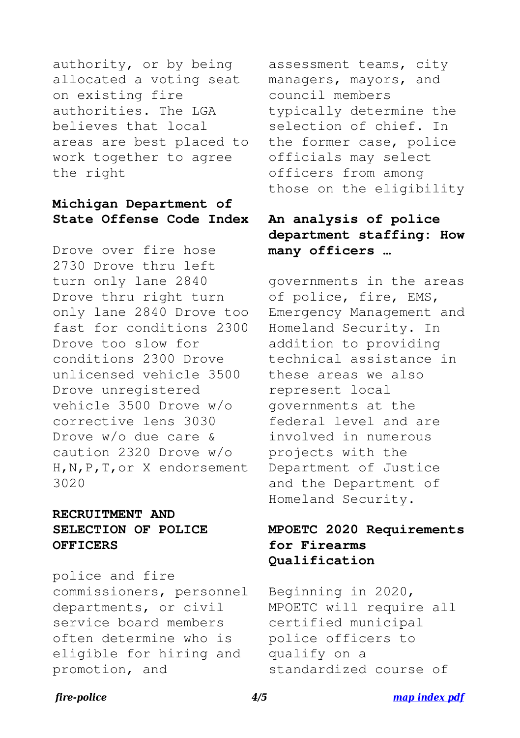authority, or by being allocated a voting seat on existing fire authorities. The LGA believes that local areas are best placed to work together to agree the right

#### **Michigan Department of State Offense Code Index**

Drove over fire hose 2730 Drove thru left turn only lane 2840 Drove thru right turn only lane 2840 Drove too fast for conditions 2300 Drove too slow for conditions 2300 Drove unlicensed vehicle 3500 Drove unregistered vehicle 3500 Drove w/o corrective lens 3030 Drove w/o due care & caution 2320 Drove w/o H,N,P,T,or X endorsement 3020

### **RECRUITMENT AND SELECTION OF POLICE OFFICERS**

police and fire commissioners, personnel departments, or civil service board members often determine who is eligible for hiring and promotion, and

assessment teams, city managers, mayors, and council members typically determine the selection of chief. In the former case, police officials may select officers from among those on the eligibility

# **An analysis of police department staffing: How many officers …**

governments in the areas of police, fire, EMS, Emergency Management and Homeland Security. In addition to providing technical assistance in these areas we also represent local governments at the federal level and are involved in numerous projects with the Department of Justice and the Department of Homeland Security.

# **MPOETC 2020 Requirements for Firearms Qualification**

Beginning in 2020, MPOETC will require all certified municipal police officers to qualify on a standardized course of